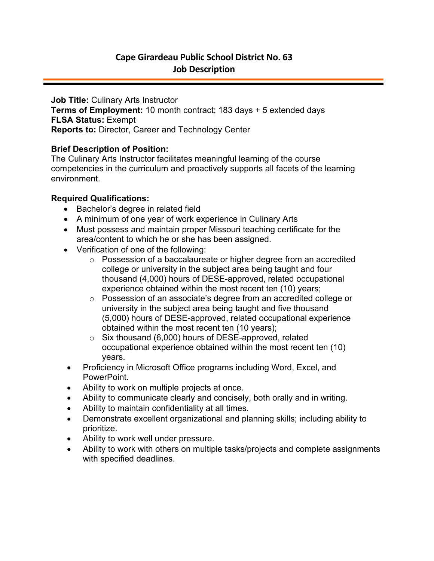**Job Title:** Culinary Arts Instructor **Terms of Employment:** 10 month contract; 183 days + 5 extended days **FLSA Status:** Exempt **Reports to:** Director, Career and Technology Center

## **Brief Description of Position:**

The Culinary Arts Instructor facilitates meaningful learning of the course competencies in the curriculum and proactively supports all facets of the learning environment.

# **Required Qualifications:**

- Bachelor's degree in related field
- A minimum of one year of work experience in Culinary Arts
- Must possess and maintain proper Missouri teaching certificate for the area/content to which he or she has been assigned.
- Verification of one of the following:
	- o Possession of a baccalaureate or higher degree from an accredited college or university in the subject area being taught and four thousand (4,000) hours of DESE-approved, related occupational experience obtained within the most recent ten (10) years;
	- o Possession of an associate's degree from an accredited college or university in the subject area being taught and five thousand (5,000) hours of DESE-approved, related occupational experience obtained within the most recent ten (10 years);
	- o Six thousand (6,000) hours of DESE-approved, related occupational experience obtained within the most recent ten (10) years.
	- Proficiency in Microsoft Office programs including Word, Excel, and PowerPoint.
	- Ability to work on multiple projects at once.
- Ability to communicate clearly and concisely, both orally and in writing.
- Ability to maintain confidentiality at all times.
- Demonstrate excellent organizational and planning skills; including ability to prioritize.
- Ability to work well under pressure.
- Ability to work with others on multiple tasks/projects and complete assignments with specified deadlines.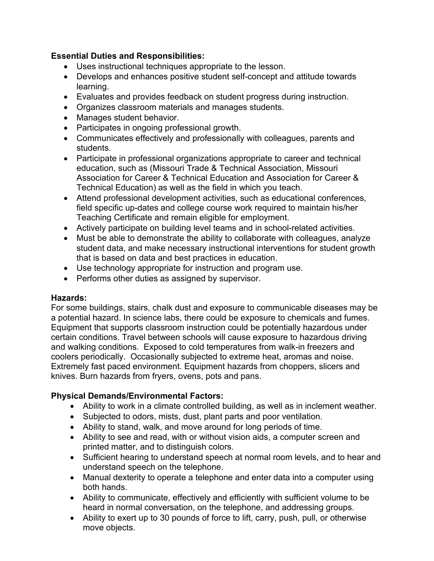## **Essential Duties and Responsibilities:**

- Uses instructional techniques appropriate to the lesson.
- Develops and enhances positive student self-concept and attitude towards learning.
- Evaluates and provides feedback on student progress during instruction.
- Organizes classroom materials and manages students.
- Manages student behavior.
- Participates in ongoing professional growth.
- Communicates effectively and professionally with colleagues, parents and students.
- Participate in professional organizations appropriate to career and technical education, such as (Missouri Trade & Technical Association, Missouri Association for Career & Technical Education and Association for Career & Technical Education) as well as the field in which you teach.
- Attend professional development activities, such as educational conferences, field specific up-dates and college course work required to maintain his/her Teaching Certificate and remain eligible for employment.
- Actively participate on building level teams and in school-related activities.
- Must be able to demonstrate the ability to collaborate with colleagues, analyze student data, and make necessary instructional interventions for student growth that is based on data and best practices in education.
- Use technology appropriate for instruction and program use.
- Performs other duties as assigned by supervisor.

## **Hazards:**

For some buildings, stairs, chalk dust and exposure to communicable diseases may be a potential hazard. In science labs, there could be exposure to chemicals and fumes. Equipment that supports classroom instruction could be potentially hazardous under certain conditions. Travel between schools will cause exposure to hazardous driving and walking conditions. Exposed to cold temperatures from walk-in freezers and coolers periodically. Occasionally subjected to extreme heat, aromas and noise. Extremely fast paced environment. Equipment hazards from choppers, slicers and knives. Burn hazards from fryers, ovens, pots and pans.

# **Physical Demands/Environmental Factors:**

- Ability to work in a climate controlled building, as well as in inclement weather.
- Subjected to odors, mists, dust, plant parts and poor ventilation.
- Ability to stand, walk, and move around for long periods of time.
- Ability to see and read, with or without vision aids, a computer screen and printed matter, and to distinguish colors.
- Sufficient hearing to understand speech at normal room levels, and to hear and understand speech on the telephone.
- Manual dexterity to operate a telephone and enter data into a computer using both hands.
- Ability to communicate, effectively and efficiently with sufficient volume to be heard in normal conversation, on the telephone, and addressing groups.
- Ability to exert up to 30 pounds of force to lift, carry, push, pull, or otherwise move objects.